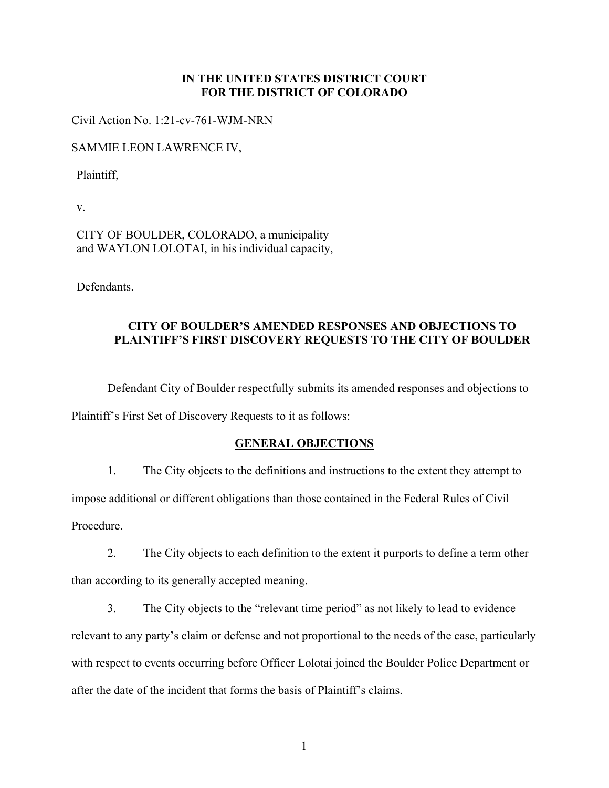## **IN THE UNITED STATES DISTRICT COURT FOR THE DISTRICT OF COLORADO**

Civil Action No. 1:21-cv-761-WJM- NRN

SAMMIE LEON LAWRENCE IV,

Plaintiff,

v.

CITY OF BOULDER, COLORADO, a municipality and WAYLON LOLOTAI, in his individual capacity,

**Defendants** 

## **CITY OF BOULDER'S AMENDED RESPONSES AND OBJECTIONS TO PLAINTIFF'S FIRST DISCOVERY REQUESTS TO THE CITY OF BOULDER**

Defendant City of Boulder respectfully submits its amended responses and objections to

Plaintiff's First Set of Discovery Requests to it as follows:

## **GENERAL OBJECTIONS**

1. The City objects to the definitions and instructions to the extent they attempt to impose additional or different obligations than those contained in the Federal Rules of Civil

Procedure.

2. The City objects to each definition to the extent it purports to define a term other than according to its generally accepted meaning.

3. The City objects to the "relevant time period" as not likely to lead to evidence relevant to any party's claim or defense and not proportional to the needs of the case, particularly with respect to events occurring before Officer Lolotai joined the Boulder Police Department or after the date of the incident that forms the basis of Plaintiff's claims.

1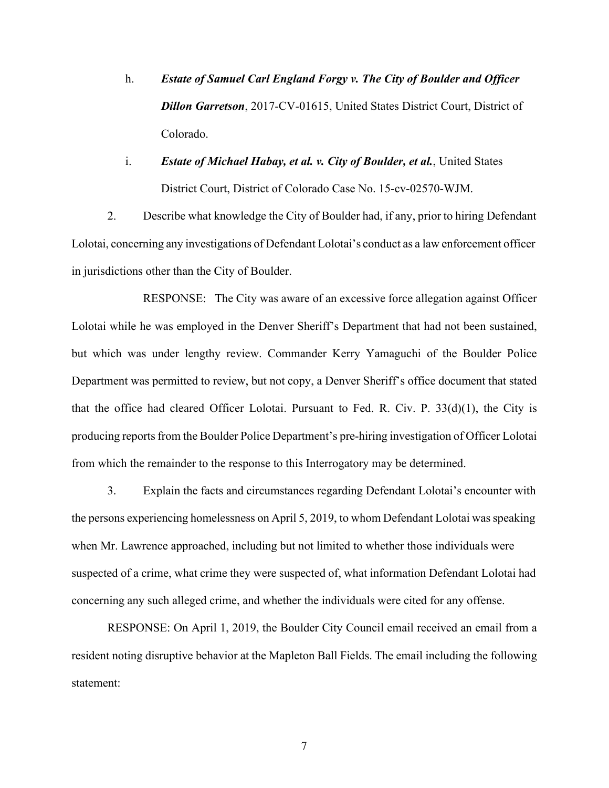- h. *Estate of Samuel Carl England Forgy v. The City of Boulder and Officer Dillon Garretson*, 2017-CV-01615, United States District Court, District of Colorado.
- i. *Estate of Michael Habay, et al. v. City of Boulder, et al.*, United States District Court, District of Colorado Case No. 15-cv-02570-WJM.

2. Describe what knowledge the City of Boulder had, if any, prior to hiring Defendant Lolotai, concerning any investigations of Defendant Lolotai's conduct as a law enforcement officer in jurisdictions other than the City of Boulder.

 RESPONSE: The City was aware of an excessive force allegation against Officer Lolotai while he was employed in the Denver Sheriff's Department that had not been sustained, but which was under lengthy review. Commander Kerry Yamaguchi of the Boulder Police Department was permitted to review, but not copy, a Denver Sheriff's office document that stated that the office had cleared Officer Lolotai. Pursuant to Fed. R. Civ. P.  $33(d)(1)$ , the City is producing reports from the Boulder Police Department's pre-hiring investigation of Officer Lolotai from which the remainder to the response to this Interrogatory may be determined.

3. Explain the facts and circumstances regarding Defendant Lolotai's encounter with the persons experiencing homelessness on April 5, 2019, to whom Defendant Lolotai was speaking when Mr. Lawrence approached, including but not limited to whether those individuals were suspected of a crime, what crime they were suspected of, what information Defendant Lolotai had concerning any such alleged crime, and whether the individuals were cited for any offense.

RESPONSE: On April 1, 2019, the Boulder City Council email received an email from a resident noting disruptive behavior at the Mapleton Ball Fields. The email including the following statement:

7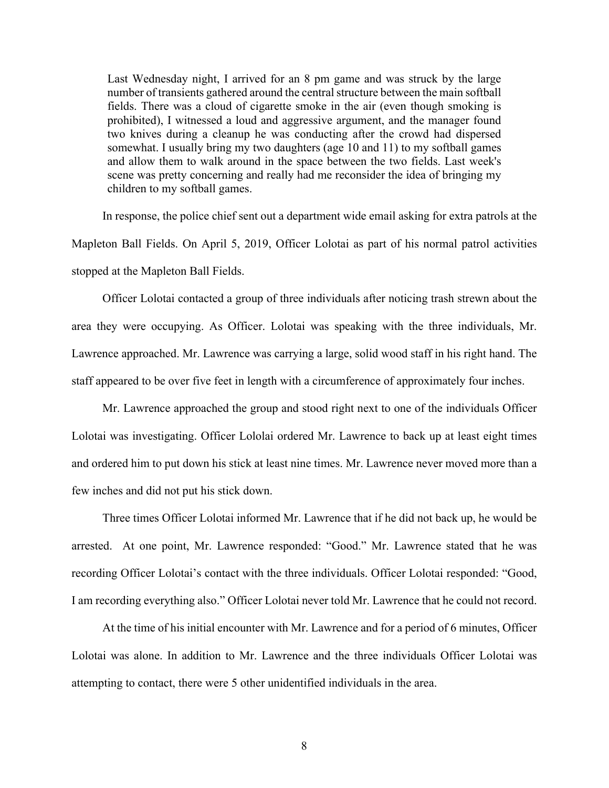Last Wednesday night, I arrived for an 8 pm game and was struck by the large number of transients gathered around the central structure between the main softball fields. There was a cloud of cigarette smoke in the air (even though smoking is prohibited), I witnessed a loud and aggressive argument, and the manager found two knives during a cleanup he was conducting after the crowd had dispersed somewhat. I usually bring my two daughters (age 10 and 11) to my softball games and allow them to walk around in the space between the two fields. Last week's scene was pretty concerning and really had me reconsider the idea of bringing my children to my softball games.

In response, the police chief sent out a department wide email asking for extra patrols at the Mapleton Ball Fields. On April 5, 2019, Officer Lolotai as part of his normal patrol activities stopped at the Mapleton Ball Fields.

Officer Lolotai contacted a group of three individuals after noticing trash strewn about the area they were occupying. As Officer. Lolotai was speaking with the three individuals, Mr. Lawrence approached. Mr. Lawrence was carrying a large, solid wood staff in his right hand. The staff appeared to be over five feet in length with a circumference of approximately four inches.

Mr. Lawrence approached the group and stood right next to one of the individuals Officer Lolotai was investigating. Officer Lololai ordered Mr. Lawrence to back up at least eight times and ordered him to put down his stick at least nine times. Mr. Lawrence never moved more than a few inches and did not put his stick down.

Three times Officer Lolotai informed Mr. Lawrence that if he did not back up, he would be arrested. At one point, Mr. Lawrence responded: "Good." Mr. Lawrence stated that he was recording Officer Lolotai's contact with the three individuals. Officer Lolotai responded: "Good, I am recording everything also." Officer Lolotai never told Mr. Lawrence that he could not record.

At the time of his initial encounter with Mr. Lawrence and for a period of 6 minutes, Officer Lolotai was alone. In addition to Mr. Lawrence and the three individuals Officer Lolotai was attempting to contact, there were 5 other unidentified individuals in the area.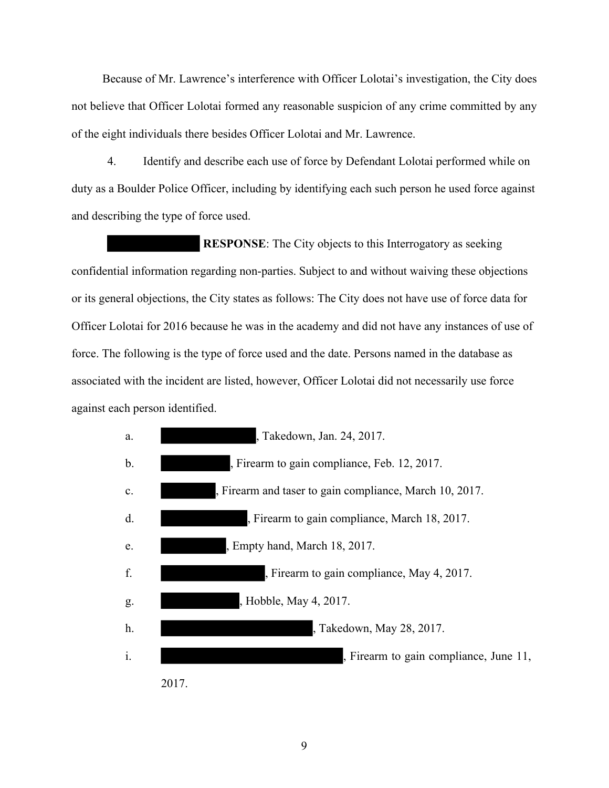Because of Mr. Lawrence's interference with Officer Lolotai's investigation, the City does not believe that Officer Lolotai formed any reasonable suspicion of any crime committed by any of the eight individuals there besides Officer Lolotai and Mr. Lawrence.

4. Identify and describe each use of force by Defendant Lolotai performed while on duty as a Boulder Police Officer, including by identifying each such person he used force against and describing the type of force used.

 **RESPONSE**: The City objects to this Interrogatory as seeking confidential information regarding non-parties. Subject to and without waiving these objections or its general objections, the City states as follows: The City does not have use of force data for Officer Lolotai for 2016 because he was in the academy and did not have any instances of use of force. The following is the type of force used and the date. Persons named in the database as associated with the incident are listed, however, Officer Lolotai did not necessarily use force against each person identified.

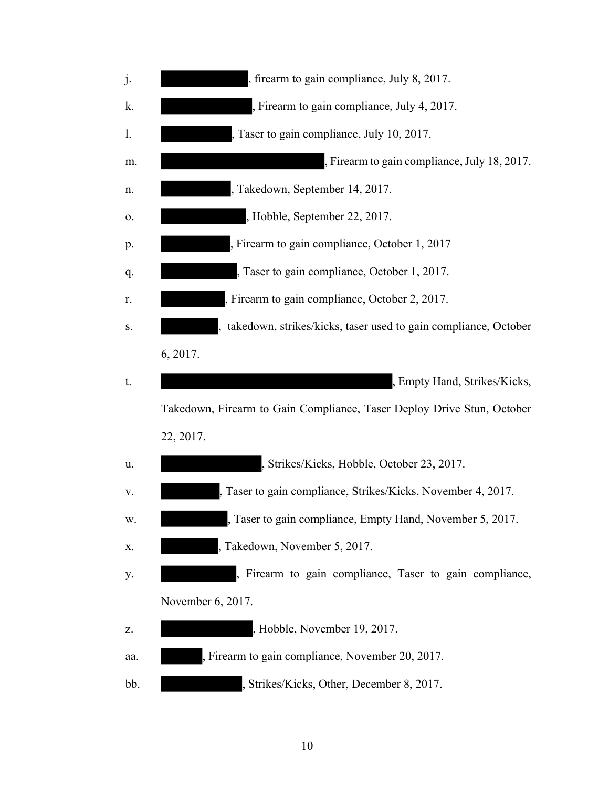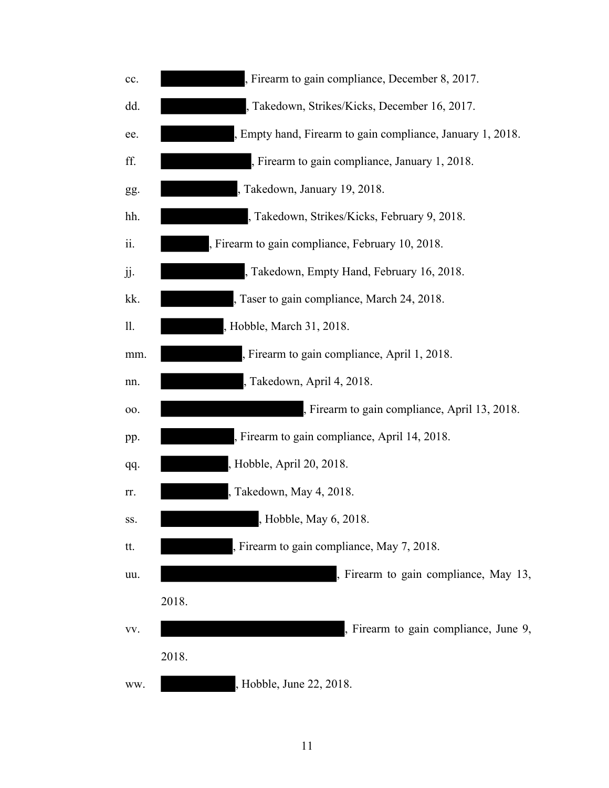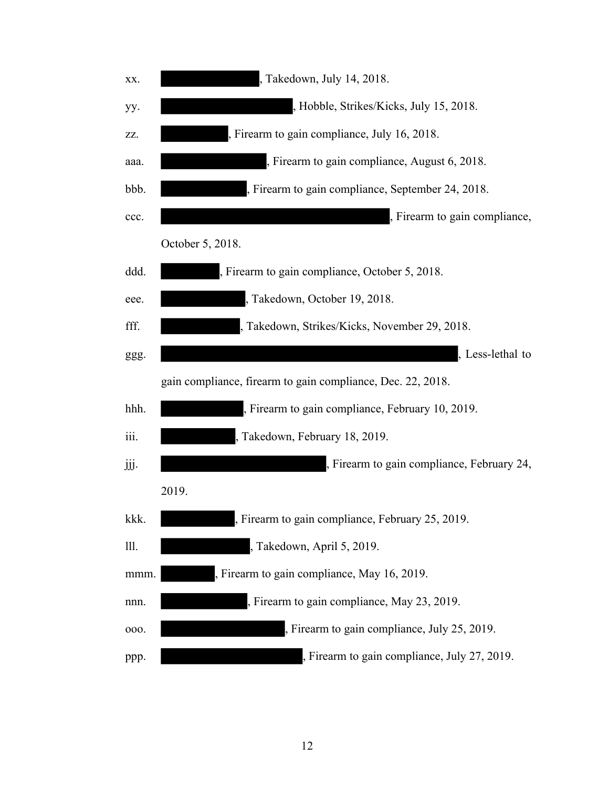